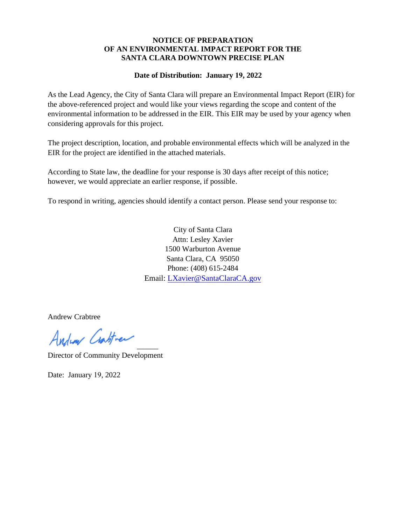#### **NOTICE OF PREPARATION OF AN ENVIRONMENTAL IMPACT REPORT FOR THE SANTA CLARA DOWNTOWN PRECISE PLAN**

#### **Date of Distribution: January 19, 2022**

As the Lead Agency, the City of Santa Clara will prepare an Environmental Impact Report (EIR) for the above-referenced project and would like your views regarding the scope and content of the environmental information to be addressed in the EIR. This EIR may be used by your agency when considering approvals for this project.

The project description, location, and probable environmental effects which will be analyzed in the EIR for the project are identified in the attached materials.

According to State law, the deadline for your response is 30 days after receipt of this notice; however, we would appreciate an earlier response, if possible.

To respond in writing, agencies should identify a contact person. Please send your response to:

City of Santa Clara Attn: Lesley Xavier 1500 Warburton Avenue Santa Clara, CA 95050 Phone: (408) 615-2484 Email: [LXavier@SantaClaraCA.gov](mailto:LXavier@SantaClaraCA.gov)

Andrew Crabtree

Andrew Crastiner

Director of Community Development

Date: January 19, 2022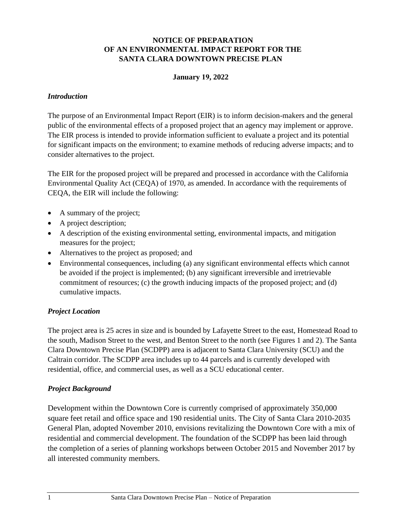### **NOTICE OF PREPARATION OF AN ENVIRONMENTAL IMPACT REPORT FOR THE SANTA CLARA DOWNTOWN PRECISE PLAN**

#### **January 19, 2022**

#### *Introduction*

The purpose of an Environmental Impact Report (EIR) is to inform decision-makers and the general public of the environmental effects of a proposed project that an agency may implement or approve. The EIR process is intended to provide information sufficient to evaluate a project and its potential for significant impacts on the environment; to examine methods of reducing adverse impacts; and to consider alternatives to the project.

The EIR for the proposed project will be prepared and processed in accordance with the California Environmental Quality Act (CEQA) of 1970, as amended. In accordance with the requirements of CEQA, the EIR will include the following:

- A summary of the project;
- A project description;
- A description of the existing environmental setting, environmental impacts, and mitigation measures for the project;
- Alternatives to the project as proposed; and
- Environmental consequences, including (a) any significant environmental effects which cannot be avoided if the project is implemented; (b) any significant irreversible and irretrievable commitment of resources; (c) the growth inducing impacts of the proposed project; and (d) cumulative impacts.

#### *Project Location*

The project area is 25 acres in size and is bounded by Lafayette Street to the east, Homestead Road to the south, Madison Street to the west, and Benton Street to the north (see Figures 1 and 2). The Santa Clara Downtown Precise Plan (SCDPP) area is adjacent to Santa Clara University (SCU) and the Caltrain corridor. The SCDPP area includes up to 44 parcels and is currently developed with residential, office, and commercial uses, as well as a SCU educational center.

#### *Project Background*

Development within the Downtown Core is currently comprised of approximately 350,000 square feet retail and office space and 190 residential units. The City of Santa Clara 2010-2035 General Plan, adopted November 2010, envisions revitalizing the Downtown Core with a mix of residential and commercial development. The foundation of the SCDPP has been laid through the completion of a series of planning workshops between October 2015 and November 2017 by all interested community members.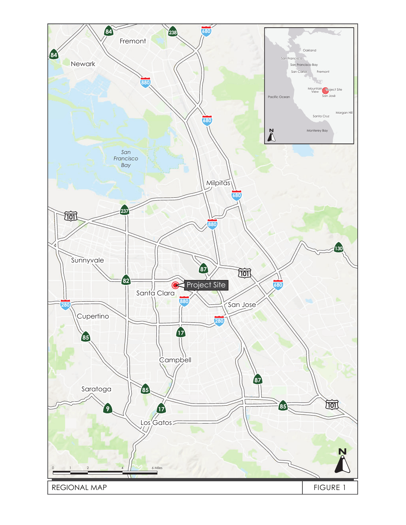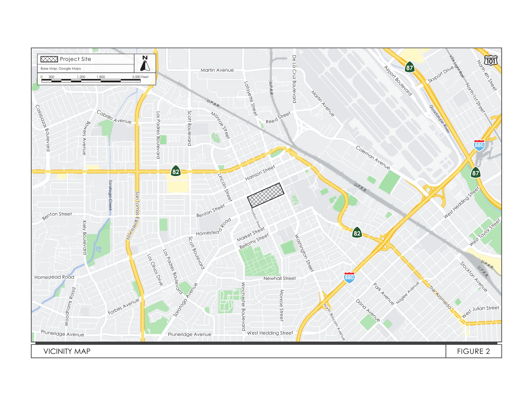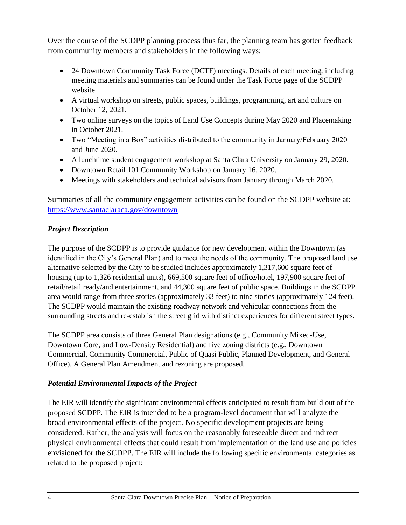Over the course of the SCDPP planning process thus far, the planning team has gotten feedback from community members and stakeholders in the following ways:

- 24 Downtown Community Task Force (DCTF) meetings. Details of each meeting, including meeting materials and summaries can be found under the Task Force page of the SCDPP website.
- A virtual workshop on streets, public spaces, buildings, programming, art and culture on October 12, 2021.
- Two online surveys on the topics of Land Use Concepts during May 2020 and Placemaking in October 2021.
- Two "Meeting in a Box" activities distributed to the community in January/February 2020 and June 2020.
- A lunchtime student engagement workshop at Santa Clara University on January 29, 2020.
- Downtown Retail 101 Community Workshop on January 16, 2020.
- Meetings with stakeholders and technical advisors from January through March 2020.

Summaries of all the community engagement activities can be found on the SCDPP website at: <https://www.santaclaraca.gov/downtown>

# *Project Description*

The purpose of the SCDPP is to provide guidance for new development within the Downtown (as identified in the City's General Plan) and to meet the needs of the community. The proposed land use alternative selected by the City to be studied includes approximately 1,317,600 square feet of housing (up to 1,326 residential units), 669,500 square feet of office/hotel, 197,900 square feet of retail/retail ready/and entertainment, and 44,300 square feet of public space. Buildings in the SCDPP area would range from three stories (approximately 33 feet) to nine stories (approximately 124 feet). The SCDPP would maintain the existing roadway network and vehicular connections from the surrounding streets and re-establish the street grid with distinct experiences for different street types.

The SCDPP area consists of three General Plan designations (e.g., Community Mixed-Use, Downtown Core, and Low-Density Residential) and five zoning districts (e.g., Downtown Commercial, Community Commercial, Public of Quasi Public, Planned Development, and General Office). A General Plan Amendment and rezoning are proposed.

# *Potential Environmental Impacts of the Project*

The EIR will identify the significant environmental effects anticipated to result from build out of the proposed SCDPP. The EIR is intended to be a program-level document that will analyze the broad environmental effects of the project. No specific development projects are being considered. Rather, the analysis will focus on the reasonably foreseeable direct and indirect physical environmental effects that could result from implementation of the land use and policies envisioned for the SCDPP. The EIR will include the following specific environmental categories as related to the proposed project: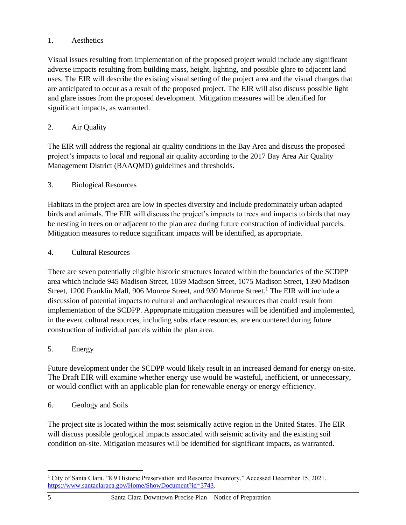# 1. Aesthetics

Visual issues resulting from implementation of the proposed project would include any significant adverse impacts resulting from building mass, height, lighting, and possible glare to adjacent land uses. The EIR will describe the existing visual setting of the project area and the visual changes that are anticipated to occur as a result of the proposed project. The EIR will also discuss possible light and glare issues from the proposed development. Mitigation measures will be identified for significant impacts, as warranted.

# 2. Air Quality

The EIR will address the regional air quality conditions in the Bay Area and discuss the proposed project's impacts to local and regional air quality according to the 2017 Bay Area Air Quality Management District (BAAQMD) guidelines and thresholds.

### 3. Biological Resources

Habitats in the project area are low in species diversity and include predominately urban adapted birds and animals. The EIR will discuss the project's impacts to trees and impacts to birds that may be nesting in trees on or adjacent to the plan area during future construction of individual parcels. Mitigation measures to reduce significant impacts will be identified, as appropriate.

### 4. Cultural Resources

There are seven potentially eligible historic structures located within the boundaries of the SCDPP area which include 945 Madison Street, 1059 Madison Street, 1075 Madison Street, 1390 Madison Street, 1200 Franklin Mall, 906 Monroe Street, and 930 Monroe Street.<sup>1</sup> The EIR will include a discussion of potential impacts to cultural and archaeological resources that could result from implementation of the SCDPP. Appropriate mitigation measures will be identified and implemented, in the event cultural resources, including subsurface resources, are encountered during future construction of individual parcels within the plan area.

# 5. Energy

Future development under the SCDPP would likely result in an increased demand for energy on-site. The Draft EIR will examine whether energy use would be wasteful, inefficient, or unnecessary, or would conflict with an applicable plan for renewable energy or energy efficiency.

### 6. Geology and Soils

The project site is located within the most seismically active region in the United States. The EIR will discuss possible geological impacts associated with seismic activity and the existing soil condition on-site. Mitigation measures will be identified for significant impacts, as warranted.

<sup>1</sup> City of Santa Clara. "8.9 Historic Preservation and Resource Inventory." Accessed December 15, 2021. [https://www.santaclaraca.gov/Home/ShowDocument?id=3743.](https://www.santaclaraca.gov/Home/ShowDocument?id=3743)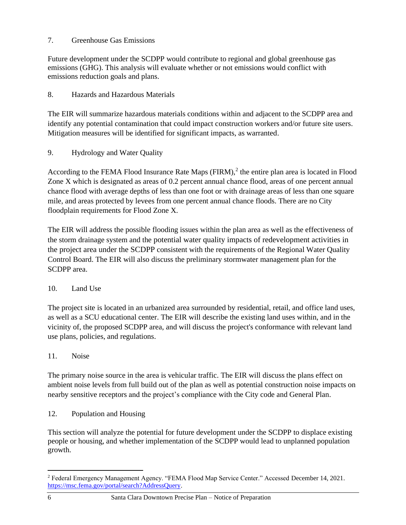### 7. Greenhouse Gas Emissions

Future development under the SCDPP would contribute to regional and global greenhouse gas emissions (GHG). This analysis will evaluate whether or not emissions would conflict with emissions reduction goals and plans.

## 8. Hazards and Hazardous Materials

The EIR will summarize hazardous materials conditions within and adjacent to the SCDPP area and identify any potential contamination that could impact construction workers and/or future site users. Mitigation measures will be identified for significant impacts, as warranted.

9. Hydrology and Water Quality

According to the FEMA Flood Insurance Rate Maps  $(FIRM),^2$  the entire plan area is located in Flood Zone X which is designated as areas of 0.2 percent annual chance flood, areas of one percent annual chance flood with average depths of less than one foot or with drainage areas of less than one square mile, and areas protected by levees from one percent annual chance floods. There are no City floodplain requirements for Flood Zone X.

The EIR will address the possible flooding issues within the plan area as well as the effectiveness of the storm drainage system and the potential water quality impacts of redevelopment activities in the project area under the SCDPP consistent with the requirements of the Regional Water Quality Control Board. The EIR will also discuss the preliminary stormwater management plan for the SCDPP area.

# 10. Land Use

The project site is located in an urbanized area surrounded by residential, retail, and office land uses, as well as a SCU educational center. The EIR will describe the existing land uses within, and in the vicinity of, the proposed SCDPP area, and will discuss the project's conformance with relevant land use plans, policies, and regulations.

# 11. Noise

The primary noise source in the area is vehicular traffic. The EIR will discuss the plans effect on ambient noise levels from full build out of the plan as well as potential construction noise impacts on nearby sensitive receptors and the project's compliance with the City code and General Plan.

12. Population and Housing

This section will analyze the potential for future development under the SCDPP to displace existing people or housing, and whether implementation of the SCDPP would lead to unplanned population growth.

<sup>2</sup> Federal Emergency Management Agency. "FEMA Flood Map Service Center." Accessed December 14, 2021. [https://msc.fema.gov/portal/search?AddressQuery.](https://msc.fema.gov/portal/search?AddressQuery)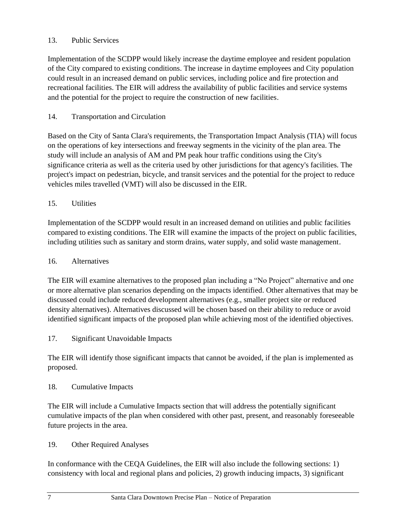# 13. Public Services

Implementation of the SCDPP would likely increase the daytime employee and resident population of the City compared to existing conditions. The increase in daytime employees and City population could result in an increased demand on public services, including police and fire protection and recreational facilities. The EIR will address the availability of public facilities and service systems and the potential for the project to require the construction of new facilities.

## 14. Transportation and Circulation

Based on the City of Santa Clara's requirements, the Transportation Impact Analysis (TIA) will focus on the operations of key intersections and freeway segments in the vicinity of the plan area. The study will include an analysis of AM and PM peak hour traffic conditions using the City's significance criteria as well as the criteria used by other jurisdictions for that agency's facilities. The project's impact on pedestrian, bicycle, and transit services and the potential for the project to reduce vehicles miles travelled (VMT) will also be discussed in the EIR.

### 15. Utilities

Implementation of the SCDPP would result in an increased demand on utilities and public facilities compared to existing conditions. The EIR will examine the impacts of the project on public facilities, including utilities such as sanitary and storm drains, water supply, and solid waste management.

### 16. Alternatives

The EIR will examine alternatives to the proposed plan including a "No Project" alternative and one or more alternative plan scenarios depending on the impacts identified. Other alternatives that may be discussed could include reduced development alternatives (e.g., smaller project site or reduced density alternatives). Alternatives discussed will be chosen based on their ability to reduce or avoid identified significant impacts of the proposed plan while achieving most of the identified objectives.

17. Significant Unavoidable Impacts

The EIR will identify those significant impacts that cannot be avoided, if the plan is implemented as proposed.

### 18. Cumulative Impacts

The EIR will include a Cumulative Impacts section that will address the potentially significant cumulative impacts of the plan when considered with other past, present, and reasonably foreseeable future projects in the area.

### 19. Other Required Analyses

In conformance with the CEQA Guidelines, the EIR will also include the following sections: 1) consistency with local and regional plans and policies, 2) growth inducing impacts, 3) significant